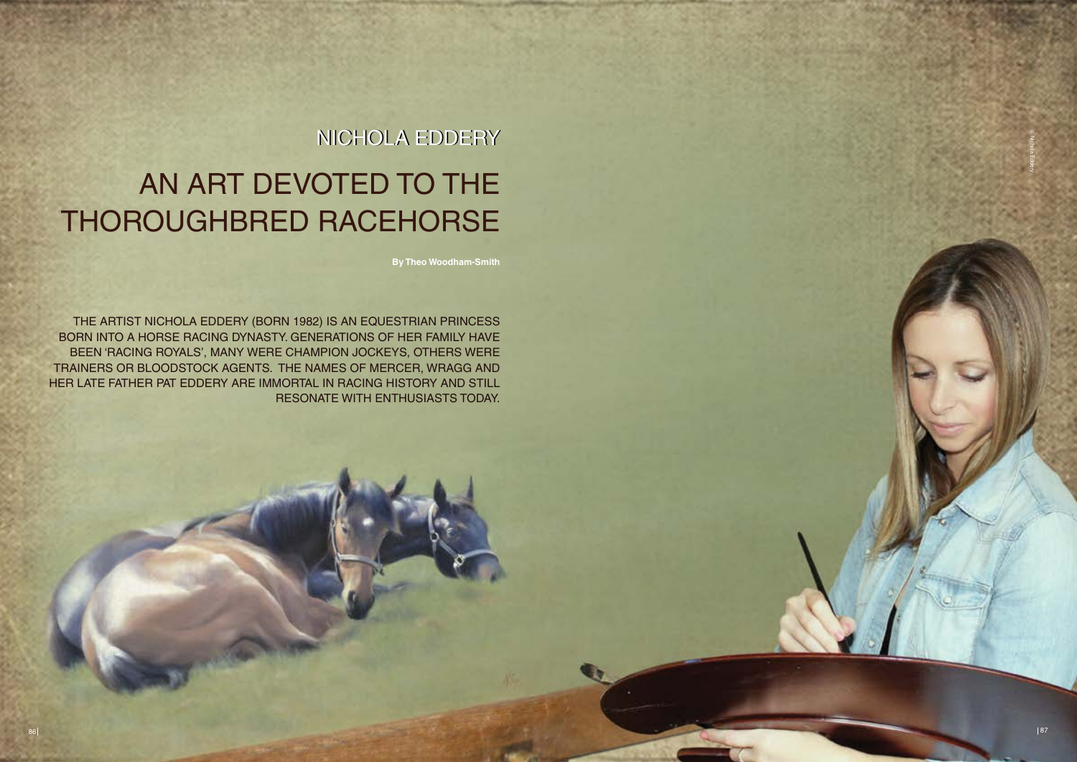**By Theo Woodham-Smith**

### NICHOLA EDDERY

# AN ART DEVOTED TO THE THOROUGHBRED RACEHORSE

The artist Nichola Eddery (born 1982) is an equestrian princess born into a horse racing dynasty. Generations of her family have BEEN 'RACING ROYALS', MANY WERE CHAMPION JOCKEYS, OTHERS WERE trainers or bloodstock agents. The names of Mercer, Wragg and her late father Pat Eddery are immortal in racing history AND still resonate with enthusiasts today.